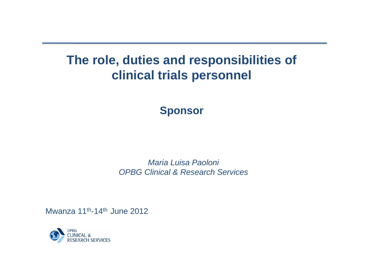# **The role, duties and responsibilities of clinical trials personnel**

## **Sponsor**

*Maria Luisa Paoloni OPBG Clinical & Research Services*

Mwanza 11<sup>th</sup>-14<sup>th</sup> June 2012

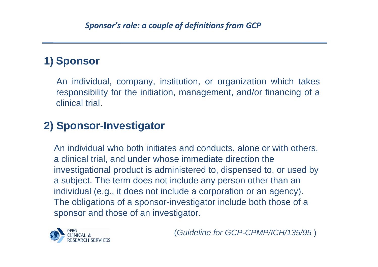### **1) Sponsor**

An individual, company, institution, or organization which takes responsibility for the initiation, management, and/or financing of a clinical trial.

## **2) Sponsor-Investigator**

An individual who both initiates and conducts, alone or with others, a clinical trial, and under whose immediate direction the investigational product is administered to, dispensed to, or used by a subject. The term does not include any person other than an individual (e.g., it does not include a corporation or an agency). The obligations of a sponsor-investigator include both those of a sponsor and those of an investigator.



(*Guideline for GCP-CPMP/ICH/135/95* )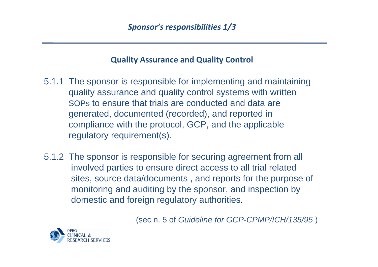#### **Quality Assurance and Quality Control**

- 5.1.1 The sponsor is responsible for implementing and maintaining quality assurance and quality control systems with written SOPs to ensure that trials are conducted and data are generated, documented (recorded), and reported in compliance with the protocol, GCP, and the applicable regulatory requirement(s).
- 5.1.2 The sponsor is responsible for securing agreement from all involved parties to ensure direct access to all trial related sites, source data/documents , and reports for the purpose of monitoring and auditing by the sponsor, and inspection by domestic and foreign regulatory authorities.

(sec n. 5 of *Guideline for GCP-CPMP/ICH/135/95* )

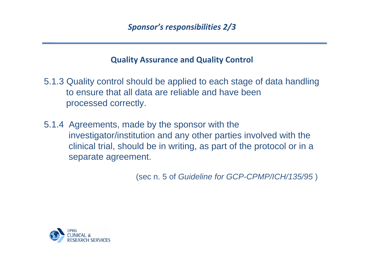#### **Quality Assurance and Quality Control**

5.1.3 Quality control should be applied to each stage of data handling to ensure that all data are reliable and have been processed correctly.

5.1.4 Agreements, made by the sponsor with the investigator/institution and any other parties involved with the clinical trial, should be in writing, as part of the protocol or in a separate agreement.

(sec n. 5 of *Guideline for GCP-CPMP/ICH/135/95* )

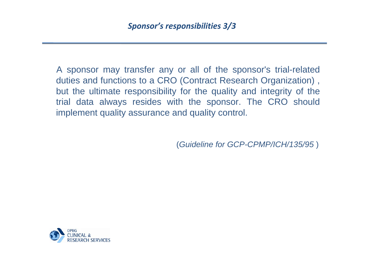A sponsor may transfer any or all of the sponsor's trial-related duties and functions to a CRO (Contract Research Organization) , but the ultimate responsibility for the quality and integrity of the trial data always resides with the sponsor. The CRO should implement quality assurance and quality control.

(*Guideline for GCP-CPMP/ICH/135/95* )

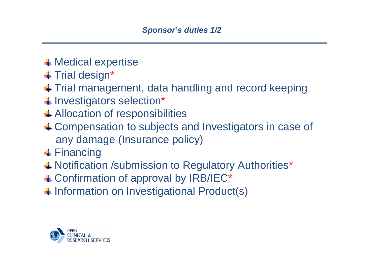- $\leftarrow$  Medical expertise
- **↓** Trial design\*
- ↓ Trial management, data handling and record keeping
- **↓ Investigators selection\***
- Allocation of responsibilities
- ↓ Compensation to subjects and Investigators in case of any damage (Insurance policy)
- **+** Financing
- Notification /submission to Regulatory Authorities\*
- Confirmation of approval by IRB/IEC\*
- Information on Investigational Product(s)

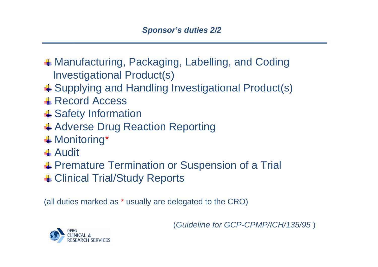- **↓ Manufacturing, Packaging, Labelling, and Coding** Investigational Product(s)
- Supplying and Handling Investigational Product(s)
- **↓ Record Access**
- **↓ Safety Information**
- Adverse Drug Reaction Reporting
- Monitoring \*
- **+** Audit
- Premature Termination or Suspension of a Trial
- Clinical Trial/Study Reports

(all duties marked a s \* usually are delegated to the CRO)

(*Guideline for GCP-CPMP/ICH/135/95* )